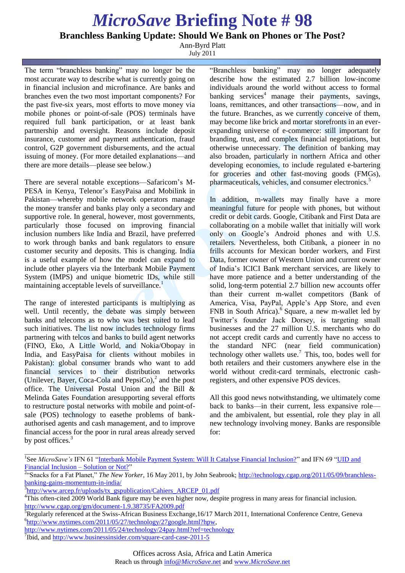## *MicroSave* **Briefing Note # 98**

**Branchless Banking Update: Should We Bank on Phones or The Post?**

Ann-Byrd Platt July 2011

The term "branchless banking" may no longer be the most accurate way to describe what is currently going on in financial inclusion and microfinance. Are banks and branches even the two most important components? For the past five-six years, most efforts to move money via mobile phones or point-of-sale (POS) terminals have required full bank participation, or at least bank partnership and oversight. Reasons include deposit insurance, customer and payment authentication, fraud control, G2P government disbursements, and the actual issuing of money. (For more detailed explanations—and there are more details—please see below.)

There are several notable exceptions—Safaricom's M-PESA in Kenya, Telenor's EasyPaisa and Mobilink in Pakistan—whereby mobile network operators manage the money transfer and banks play only a secondary and supportive role. In general, however, most governments, particularly those focused on improving financial inclusion numbers like India and Brazil, have preferred to work through banks and bank regulators to ensure customer security and deposits. This is changing. India is a useful example of how the model can expand to include other players via the Interbank Mobile Payment System (IMPS) and unique biometric IDs, while still maintaining acceptable levels of surveillance.<sup>1</sup>

The range of interested participants is multiplying as well. Until recently, the debate was simply between banks and telecoms as to who was best suited to lead such initiatives. The list now includes technology firms partnering with telcos and banks to build agent networks (FINO, Eko, A Little World, and Nokia/Obopay in India, and EasyPaisa for clients without mobiles in Pakistan): global consumer brands who want to add financial services to their distribution networks (Unilever, Bayer, Coca-Cola and PepsiCo), $2$  and the post office. The Universal Postal Union and the Bill & Melinda Gates Foundation aresupporting several efforts to restructure postal networks with mobile and point-ofsale (POS) technology to easethe problems of bankauthorised agents and cash management, and to improve financial access for the poor in rural areas already served by post offices*.* 3

\_\_\_\_\_\_\_\_\_\_\_\_\_\_\_\_\_\_\_\_\_\_\_\_\_\_\_\_\_\_\_\_\_\_\_\_\_

"Branchless banking" may no longer adequately describe how the estimated 2.7 billion low-income individuals around the world without access to formal banking services<sup>4</sup> manage their payments, savings, loans, remittances, and other transactions—now, and in the future. Branches, as we currently conceive of them, may become like brick and mortar storefronts in an everexpanding universe of e-commerce: still important for branding, trust, and complex financial negotiations, but otherwise unnecessary. The definition of banking may also broaden, particularly in northern Africa and other developing economies, to include regulated e-bartering for groceries and other fast-moving goods (FMGs), pharmaceuticals, vehicles, and consumer electronics.<sup>5</sup>

In addition, m-wallets may finally have a more meaningful future for people with phones, but without credit or debit cards. Google, Citibank and First Data are collaborating on a mobile wallet that initially will work only on Google's Android phones and with U.S. retailers. Nevertheless, both Citibank, a pioneer in no frills accounts for Mexican border workers, and First Data, former owner of Western Union and current owner of India's ICICI Bank merchant services, are likely to have more patience and a better understanding of the solid, long-term potential 2.7 billion new accounts offer than their current m-wallet competitors (Bank of America, Visa, PayPal, Apple's App Store, and even FNB in South Africa).<sup>6</sup> Square, a new m-wallet led by Twitter's founder Jack Dorsey, is targeting small businesses and the 27 million U.S. merchants who do not accept credit cards and currently have no access to the standard NFC (near field communication) technology other wallets use.<sup>7</sup> This, too, bodes well for both retailers and their customers anywhere else in the world without credit-card terminals, electronic cashregisters, and other expensive POS devices.

All this good news notwithstanding, we ultimately come back to banks—in their current, less expansive role and the ambivalent, but essential, role they play in all new technology involving money. Banks are responsible for:

<sup>&</sup>lt;sup>1</sup>See *MicroSave's* IFN 61 "Interbank Mobile Payment System: Will It Catalyse Financial Inclusion?" and IFN 69 "UID and Financial Inclusion – Solution or Not?"

<sup>2</sup> ―Snacks for a Fat Planet,‖ *The New Yorker*, 16 May 2011, by John Seabrook; http://technology.cgap.org/2011/05/09/branchlessbanking-gains-momentum-in-india/

<sup>&</sup>lt;sup>3</sup>http://www.arcep.fr/uploads/tx\_gspublication/Cahiers\_ARCEP\_01.pdf

<sup>&</sup>lt;sup>4</sup>This often-cited 2009 World Bank figure may be even higher now, despite progress in many areas for financial inclusion. http://www.cgap.org/gm/document-1.9.38735/FA2009.pdf

 ${}^{5}$ Regularly referenced at the Swiss-African Business Exchange,16/17 March 2011, International Conference Centre, Geneva 6 http://www.nytimes.com/2011/05/27/technology/27google.html?hpw,

http://www.nytimes.com/2011/05/24/technology/24pay.html?ref=technology

<sup>&</sup>lt;sup>7</sup>Ibid, and http://www.businessinsider.com/square-card-case-2011-5